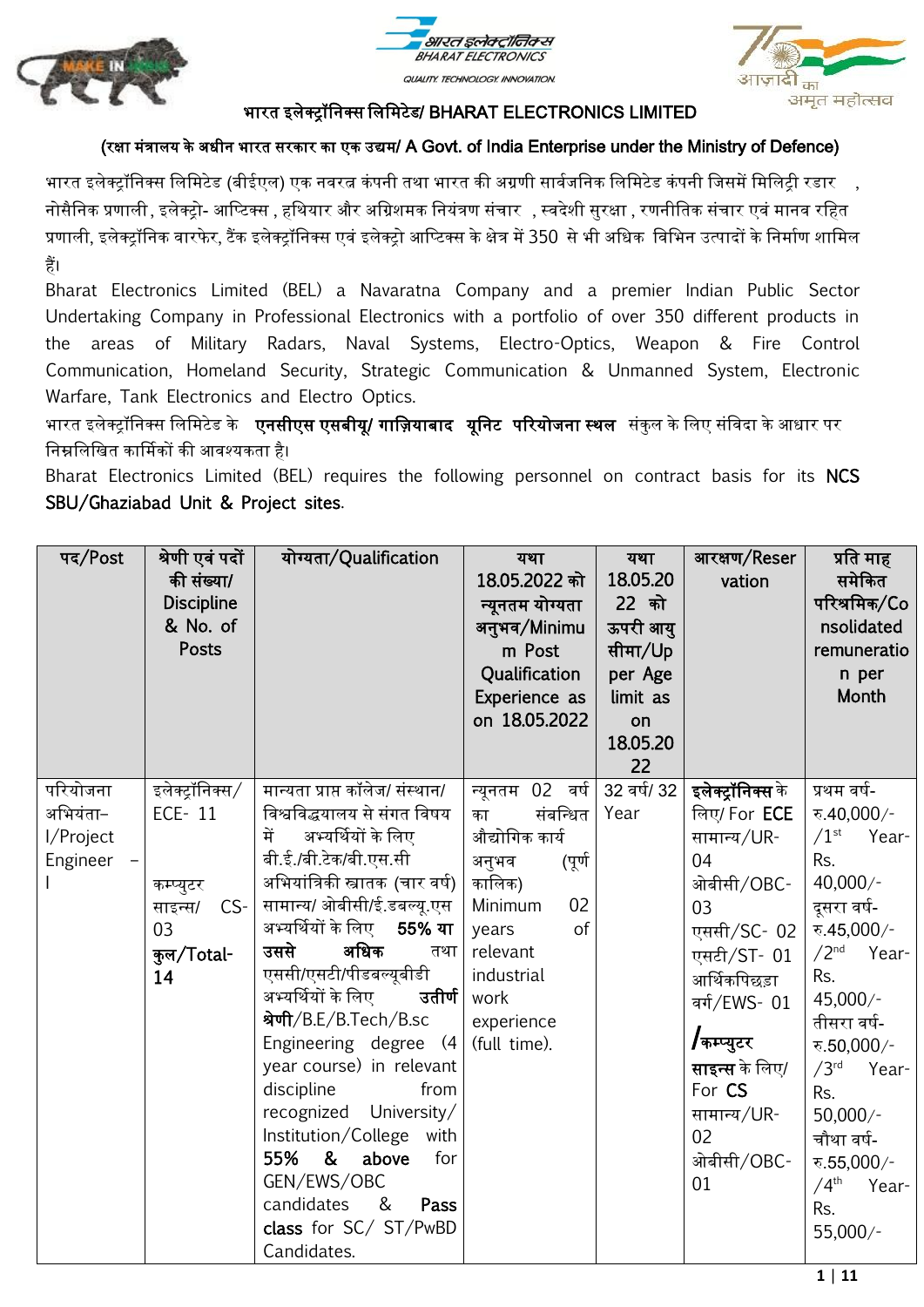



अमृत महोत्सव

### भारत इलेक्ट्रॉननक्ट्स नलनमटेड/ BHARAT ELECTRONICS LIMITED

### (रक्षा मंत्रालय के अधीन भारत सरकार का एक उद्यम/ A Govt. of India Enterprise under the Ministry of Defence)

भारत इलेक्ट्रॉनिक्स लिमिटेड (बीईएल) एक नवरत्न कंपनी तथा भारत की अग्रणी सार्वजनिक लिमिटेड कंपनी जिसमें मिलिट्री रडार , नोसैननक प्रणाली, इलेक्ट्रो- आनटटक्ट्स , हनथयार और अनग्रशमक ननयंत्रण संचार , स्वदेशी सुरक्षा , रणनीनतक संचार एवं मानव रनहत प्रणाली, इलेक्ट्रॉनिक वारफेर, टैंक इलेक्ट्रॉनिक्स एवं इलेक्ट्रो आप्टिक्स के क्षेत्र में 350 से भी अधिक विभिन उत्पादों के निर्माण शामिल हैं।

Bharat Electronics Limited (BEL) a Navaratna Company and a premier Indian Public Sector Undertaking Company in Professional Electronics with a portfolio of over 350 different products in the areas of Military Radars, Naval Systems, Electro-Optics, Weapon & Fire Control Communication, Homeland Security, Strategic Communication & Unmanned System, Electronic Warfare, Tank Electronics and Electro Optics.

भारत इलेक्ट्रॉनिक्स लिमिटेड के **एनसीएस एसबीयू/ गाज़ियाबाद यूनिट परियोजना स्थल** संकुल के लिए संविदा के आधार पर ननम्ननलनखत कार्ममकों की आवश्यकता है।

Bharat Electronics Limited (BEL) requires the following personnel on contract basis for its NCS SBU/Ghaziabad Unit & Project sites.

| पद/Post                                       | श्रेणी एवं पदों<br>की संख्या/<br><b>Discipline</b><br>& No. of<br><b>Posts</b>       | योग्यता/Qualification                                                                                                                                                                                                                                                                                                                                                                                                                                                                                                                                                         | यथा<br>18.05.2022 को<br>न्यूनतम योग्यता<br>अनुभव/Minimu<br>m Post<br>Qualification<br>Experience as<br>on 18.05.2022                                                             | यथा<br>18.05.20<br>22 को<br>ऊपरी आयु<br>सीमा/Up<br>per Age<br>limit as<br>on<br>18.05.20<br>22 | आरक्षण/Reser<br>vation                                                                                                                                                                                                             | प्रति माह<br>समेकित<br>परिश्रमिक/Co<br>nsolidated<br>remuneratio<br>n per<br>Month                                                                                                                                                                                                                                        |
|-----------------------------------------------|--------------------------------------------------------------------------------------|-------------------------------------------------------------------------------------------------------------------------------------------------------------------------------------------------------------------------------------------------------------------------------------------------------------------------------------------------------------------------------------------------------------------------------------------------------------------------------------------------------------------------------------------------------------------------------|----------------------------------------------------------------------------------------------------------------------------------------------------------------------------------|------------------------------------------------------------------------------------------------|------------------------------------------------------------------------------------------------------------------------------------------------------------------------------------------------------------------------------------|---------------------------------------------------------------------------------------------------------------------------------------------------------------------------------------------------------------------------------------------------------------------------------------------------------------------------|
| परियोजना<br>अभियंता−<br>I/Project<br>Engineer | इलेक्ट्रॉनिक्स/<br>ECE-11<br>कम्प्युटर<br>$CS-$<br>साइन्स/<br>03<br>कुल/Total-<br>14 | मान्यता प्राप्त कॉलेज/ संस्थान/<br>विश्वविद्धयालय से संगत विषय<br>अभ्यर्थियों के लिए<br>में<br>बी.ई./बी.टेक/बी.एस.सी<br>अभियांत्रिकी स्त्रातक (चार वर्ष)<br>सामान्य/ ओबीसी/ई.डबल्यू.एस<br>अभ्यर्थियों के लिए<br>55% या<br>अधिक<br>उससे<br>तथा<br>एससी/एसटी/पीडबल्यूबीडी<br>अभ्यर्थियों के लिए<br>उतीर्ण<br>श्रेणी/B.E/B.Tech/B.sc<br>Engineering degree (4<br>year course) in relevant<br>discipline<br>from<br>recognized University/<br>Institution/College with<br>55% &<br>above<br>for<br>GEN/EWS/OBC<br>candidates<br>&<br>Pass<br>class for SC/ ST/PwBD<br>Candidates. | न्यूनतम 02 वर्ष<br>संबन्धित<br>का<br>औद्योगिक कार्य<br>अनुभव<br>(पूर्ण<br>कालिक)<br>Minimum<br>02<br>of<br>years<br>relevant<br>industrial<br>work<br>experience<br>(full time). | 32 वर्ष/ 32<br>Year                                                                            | इलेक्ट्रॉनिक्स के<br>लिए/ For <b>ECE</b><br>सामान्य/UR-<br>04<br>ओबीसी/OBC-<br>03<br>एससी/SC- 02<br>एसटी/ST- 01<br>आर्थिकपिछड़ा<br>वर्ग/EWS- 01<br>/कम्प्युटर<br>साइन्स के लिए/<br>For CS<br>सामान्य/UR-<br>02<br>ओबीसी/OBC-<br>01 | प्रथम वर्ष-<br>रु.40,000/-<br>$/1$ <sup>st</sup><br>Year-<br>Rs.<br>$40,000/-$<br>दूसरा वर्ष-<br>रु.45,000/-<br>/2 <sup>nd</sup><br>Year-<br>Rs.<br>45,000/-<br>तीसरा वर्ष-<br>रु.50,000/-<br>/3 <sup>rd</sup><br>Year-<br>Rs.<br>$50,000/-$<br>चौथा वर्ष-<br>रु.55,000/-<br>/4 <sup>th</sup><br>Year-<br>Rs.<br>55,000/- |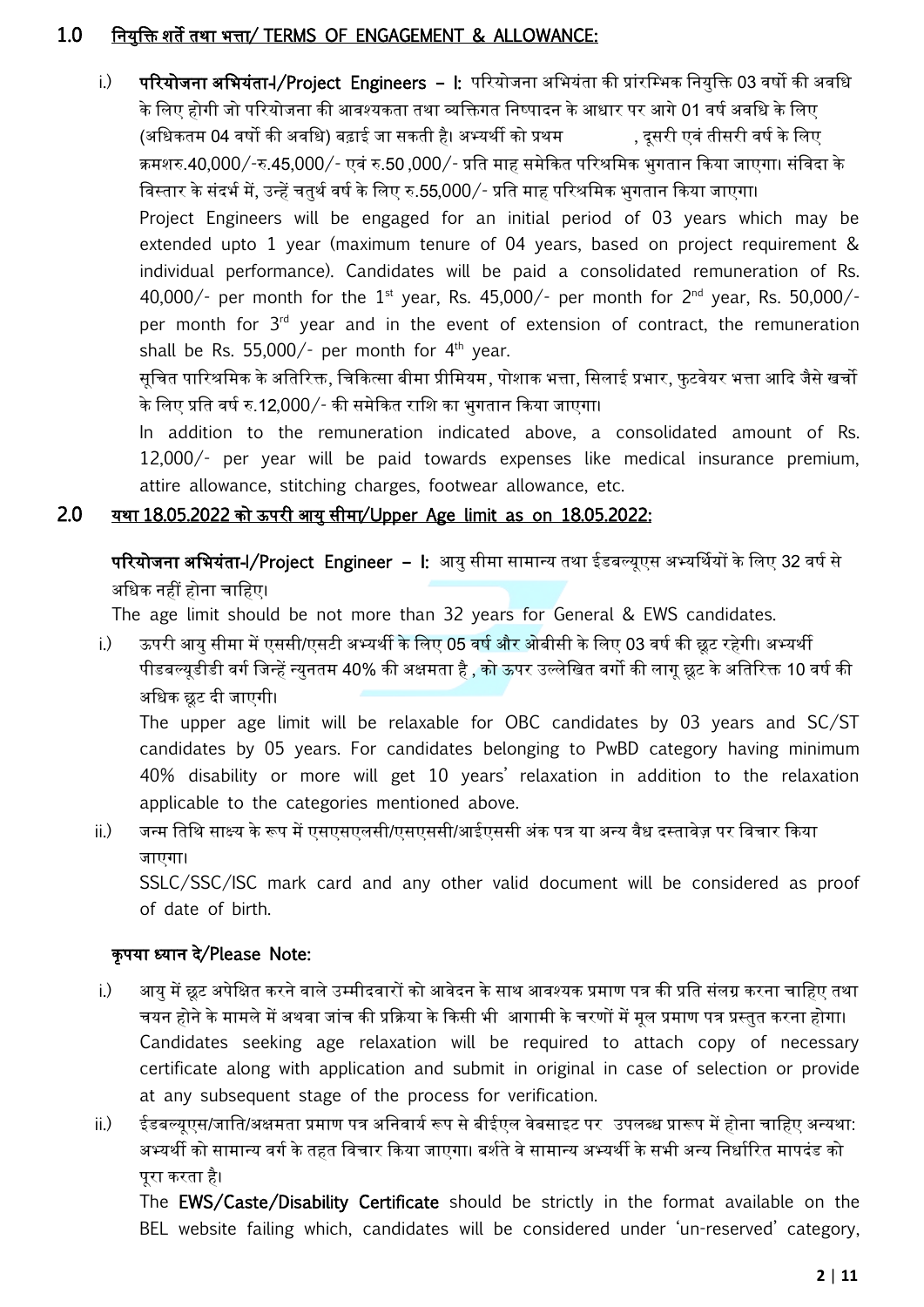### 1.0 ननयुनि शते तथा भत्ता/ TERMS OF ENGAGEMENT & ALLOWANCE:

i.) परियोजना अभियंता-I/Project Engineers – I: परियोजना अभियंता की प्रांरम्भिक नियक्ति 03 वर्षो की अवधि के लिए होगी जो परियोजना की आवश्यकता तथा व्यक्तिगत निष्पादन के आधार पर आगे 01 वर्ष अवधि के लिए (अधिकतम 04 वर्षो की अवधि) बढ़ाई जा सकती है। अभ्यर्थी को प्रथम , दसरी एवं तीसरी वर्ष के लिए क्रमशरु.40,000/-रु.45,000/- एवं रु.50 ,000/- प्रनत माह समेककत पररश्रनमक भुगतान ककया जाएगा। संनवदा के विस्तार के संदर्भ में, उन्हें चतुर्थ वर्ष के लिए रु.55,000/- प्रति माह परिश्रमिक भुगतान किया जाएगा। Project Engineers will be engaged for an initial period of 03 years which may be extended upto 1 year (maximum tenure of 04 years, based on project requirement & individual performance). Candidates will be paid a consolidated remuneration of Rs. 40,000/- per month for the  $1<sup>st</sup>$  year, Rs. 45,000/- per month for  $2<sup>nd</sup>$  year, Rs. 50,000/per month for  $3<sup>rd</sup>$  year and in the event of extension of contract, the remuneration shall be Rs.  $55,000/-$  per month for  $4<sup>th</sup>$  year.

सूचित पारिश्रमिक के अतिरिक्त, चिकित्सा बीमा प्रीमियम, पोशाक भत्ता, सिलाई प्रभार, फुटवेयर भत्ता आदि जैसे खर्चो के लिए प्रति वर्ष रु.12,000/- की समेकित राशि का भगतान किया जाएगा।

In addition to the remuneration indicated above, a consolidated amount of Rs. 12,000/- per year will be paid towards expenses like medical insurance premium, attire allowance, stitching charges, footwear allowance, etc.

#### 2.0 यथा 18.05.2022 को ऊपरी आयु सीमा/Upper Age limit as on 18.05.2022:

परियोजना अभियंता-I/Project Engineer – I: आयु सीमा सामान्य तथा ईडबल्यूएस अभ्यर्थियों के लिए 32 वर्ष से अधिक नहीं होना चाहिए।

The age limit should be not more than 32 years for General & EWS candidates.

i.) ऊपरी आयु सीमा में एससी/एसटी अभ्यर्थी के लिए 05 वर्ष और ओबीसी के लिए 03 वर्ष की छूट रहेगी। अभ्यर्थी पीडबल्यूडीडी वर्ग जिन्हें न्युनतम 40% की अक्षमता है , को ऊपर उल्लेखित वर्गो की लागू छूट के अतिरिक्त 10 वर्ष की अधिक छूट दी जाएगी।

The upper age limit will be relaxable for OBC candidates by 03 years and SC/ST candidates by 05 years. For candidates belonging to PwBD category having minimum 40% disability or more will get 10 years' relaxation in addition to the relaxation applicable to the categories mentioned above.

# ii.) जन्म तिथि साक्ष्य के रूप में एसएसएलसी/एसएससी/आईएससी अंक पत्र या अन्य वैध दस्तावेज़ पर विचार किया जाएगा।

SSLC/SSC/ISC mark card and any other valid document will be considered as proof of date of birth.

### कृ पया ध्यान दे/Please Note:

- i.) अायु में छूट अपेक्षित करने वाले उम्मीदवारों को आवेदन के साथ आवश्यक प्रमाण पत्र की प्रति संलग्र करना चाहिए तथा चयन होने के मामले में अथवा जांच की प्रकक्रया के ककसी भी आगामी के चरणों में मूल प्रमाण पत्र प्रस्तुत करना होगा। Candidates seeking age relaxation will be required to attach copy of necessary certificate along with application and submit in original in case of selection or provide at any subsequent stage of the process for verification.
- ii.) ईडबल्यूएस/जाति/अक्षमता प्रमाण पत्र अनिवार्य रूप से बीईएल वेबसाइट पर उपलब्ध प्रारूप में होना चाहिए अन्यथा: अभ्यर्थी को सामान्य वर्ग के तहत विचार किया जाएगा। बर्शते वे सामान्य अभ्यर्थी के सभी अन्य निर्धारित मापदंड को पूरा करता है।

The EWS/Caste/Disability Certificate should be strictly in the format available on the BEL website failing which, candidates will be considered under 'un-reserved' category,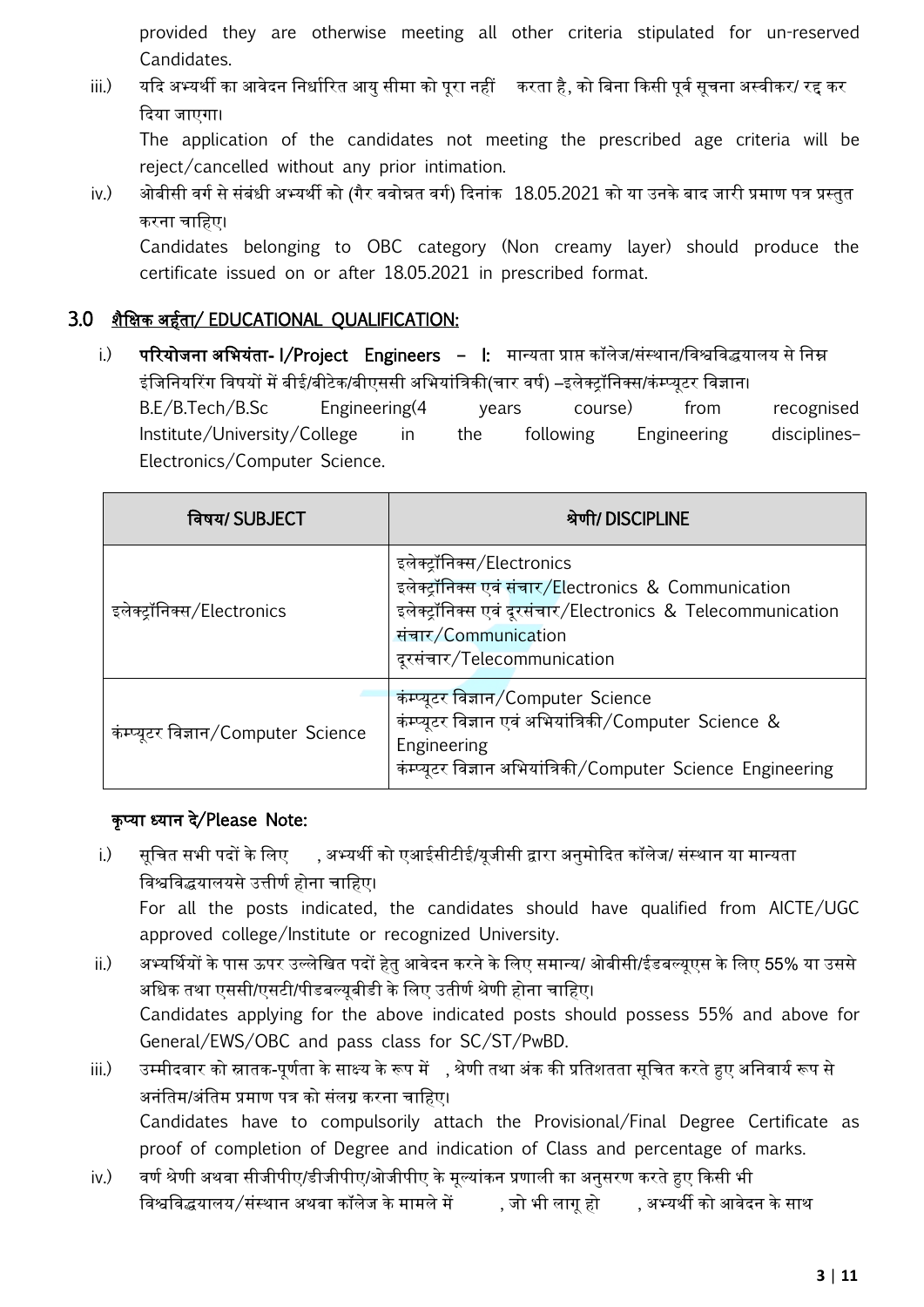provided they are otherwise meeting all other criteria stipulated for un-reserved Candidates.

iii.) यदि अभ्यर्थी का आवेदन निर्धारित आयु सीमा को पूरा नहीं करता है, को बिना किसी पूर्व सूचना अस्वीकर/ रद्द कर कदया जाएगा।

The application of the candidates not meeting the prescribed age criteria will be reject/cancelled without any prior intimation.

iv.) अोबीसी वर्ग से संबंधी अभ्यर्थी को (गैर ववोन्नत वर्ग) दिनांक 18.05.2021 को या उनके बाद जारी प्रमाण पत्र प्रस्तुत करना चानहए।

Candidates belonging to OBC category (Non creamy layer) should produce the certificate issued on or after 18.05.2021 in prescribed format.

### 3.0 शैनक्षक अहवता/ EDUCATIONAL QUALIFICATION:

i.) पररयोजना अनभयंता- I/Project Engineers – I: मान्यता प्राप्त कॉलेज/संस्थान/नवश्वनवद्धयालय से ननम्न इंजिनियरिंग विषयों में बीई/बीटेक/बीएससी अभियांत्रिकी(चार वर्ष) –इलेक्ट्रॉनिक्स/कंम्प्युटर विज्ञान। B.E/B.Tech/B.Sc Engineering(4 years course) from recognised Institute/University/College in the following Engineering disciplines– Electronics/Computer Science.

| विषय/ SUBJECT                       | श्रेणी/ DISCIPLINE                                                                                                                                                                                     |  |
|-------------------------------------|--------------------------------------------------------------------------------------------------------------------------------------------------------------------------------------------------------|--|
| इलेक्ट्रॉनिक्स/Electronics          | इलेक्ट्रॉनिक्स/Electronics<br>इलेक्ट्रॉनिक्स एवं संचार/Electronics & Communication<br>इलेक्ट्रॉनिक्स एवं दूरसंचार/Electronics & Telecommunication<br>संचार/Communication<br>दूरसंचार/Telecommunication |  |
| कंम्प्यूटर विज्ञान/Computer Science | कंम्प्यूटर विज्ञान/Computer Science<br>कंम्प्यूटर विज्ञान एवं अभियांत्रिकी/Computer Science &<br>Engineering<br>कंम्प्यूटर विज्ञान अभियांत्रिकी/Computer_Science_Engineering                           |  |

### कृप्या ध्यान दे/Please Note:

- i.) सूचित सभी पदों के लिए , अभ्यर्थी को एआईसीटीई/यूजीसी द्वारा अनुमोदित कॉलेज/ संस्थान या मान्यता विश्वविद्धयालयसे उत्तीर्ण होना चाहिए। For all the posts indicated, the candidates should have qualified from AICTE/UGC approved college/Institute or recognized University.
- ii.) अभ्यर्मथयों के पास ऊपर उल्लेनखत पदों हेतु आवेदन करने के नलए समान्य/ ओबीसी/ईडबल्यूएस के नलए 55% या उससे अधिक तथा एससी/एसटी/पीडबल्युबीडी के लिए उतीर्ण श्रेणी होना चाहिए। Candidates applying for the above indicated posts should possess 55% and above for General/EWS/OBC and pass class for SC/ST/PwBD.
- iii.) उम्मीदवार को स्नातक-पर्णता के साक्ष्य के रूप में , श्रेणी तथा अंक की प्रतिशतता सूचित करते हुए अनिवार्य रूप से अनंनतम/अंनतम प्रमाण पत्र को संलग्र करना चानहए। Candidates have to compulsorily attach the Provisional/Final Degree Certificate as proof of completion of Degree and indication of Class and percentage of marks.
- iv.) वर्ण श्रेणी अथवा सीजीपीए/डीजीपीए/ओजीपीए के मूल्यांकन प्रणाली का अनुसरण करते हुए किसी भी विश्वविद्धयालय/संस्थान अथवा कॉलेज के मामले में , जो भी लागू हो , अभ्यर्थी को आवेदन के साथ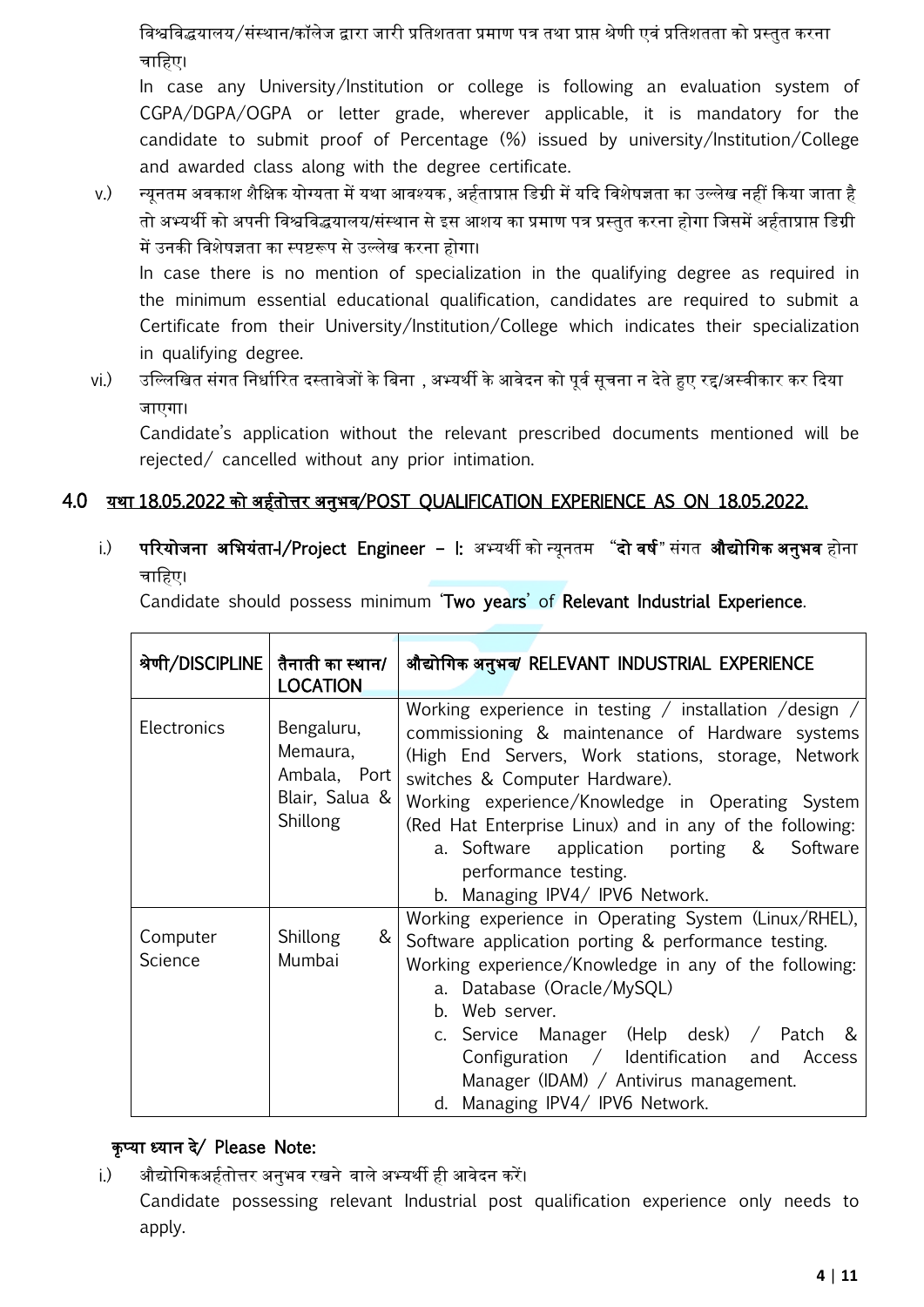नवश्वनवद्धयालय/संस्थान/कॉलेज द्वारा जारी प्रनतशतता प्रमाण पत्र तथा प्राप्त श्रेणी एवं प्रनतशतता को प्रस्तुत करना चानहए।

In case any University/Institution or college is following an evaluation system of CGPA/DGPA/OGPA or letter grade, wherever applicable, it is mandatory for the candidate to submit proof of Percentage (%) issued by university/Institution/College and awarded class along with the degree certificate.

v.) न्यूनतम अवकाश शैक्षिक योग्यता में यथा आवश्यक, अर्हताप्राप्त डिग्री में यदि विशेषज्ञता का उल्लेख नहीं किया जाता है तो अभ्यथी को अपनी नवश्वनवद्धयालय/संस्थान से इस आशय का प्रमाण पत्र प्रस्तुत करना होगा नजसमें अहवताप्राप्त नडग्री में उनकी नवशेषज्ञता का स्पष्टरूप से उल्लेख करना होगा।

In case there is no mention of specialization in the qualifying degree as required in the minimum essential educational qualification, candidates are required to submit a Certificate from their University/Institution/College which indicates their specialization in qualifying degree.

# vi.) उल्लिखित संगत निर्धारित दस्तावेजों के बिना , अभ्यर्थी के आवेदन को पूर्व सूचना न देते हुए रद्द/अस्वीकार कर दिया जाएगा।

Candidate's application without the relevant prescribed documents mentioned will be rejected/ cancelled without any prior intimation.

## 4.0 यथा 18.05.2022 को अहवतोत्तर अनुभव/POST QUALIFICATION EXPERIENCE AS ON 18.05.2022.

i.) परियोजना अभियंता-I/Project Engineer – I: अभ्यर्थी को न्यूनतम "दो वर्ष" संगत औद्योगिक अनुभव होना चानहए।

Candidate should possess minimum 'Two years' of Relevant Industrial Experience.

| श्रेणी/DISCIPLINE   तैनाती का स्थान/ | <b>LOCATION</b>                                                      | औद्योगिक अनुभव/ RELEVANT INDUSTRIAL EXPERIENCE                                                                                                                                                                                                                                                                                                                                                                             |
|--------------------------------------|----------------------------------------------------------------------|----------------------------------------------------------------------------------------------------------------------------------------------------------------------------------------------------------------------------------------------------------------------------------------------------------------------------------------------------------------------------------------------------------------------------|
| <b>Electronics</b>                   | Bengaluru,<br>Memaura,<br>Ambala, Port<br>Blair, Salua &<br>Shillong | Working experience in testing / installation / design /<br>commissioning & maintenance of Hardware systems<br>(High End Servers, Work stations, storage, Network<br>switches & Computer Hardware).<br>Working experience/Knowledge in Operating System<br>(Red Hat Enterprise Linux) and in any of the following:<br>a. Software application porting & Software<br>performance testing.<br>b. Managing IPV4/ IPV6 Network. |
| Computer<br><b>Science</b>           | Shillong<br>&<br>Mumbai                                              | Working experience in Operating System (Linux/RHEL),<br>Software application porting & performance testing.<br>Working experience/Knowledge in any of the following:<br>a. Database (Oracle/MySQL)<br>b. Web server.<br>c. Service Manager (Help desk) / Patch &<br>Configuration / Identification and Access<br>Manager (IDAM) / Antivirus management.<br>d. Managing IPV4/ IPV6 Network.                                 |

## कृ टया ध्यान दे/ Please Note:

i.) औद्योनगकअहवतोत्तर अनुभव रखनेवाले अभ्यथी ही आवेदन करें। Candidate possessing relevant Industrial post qualification experience only needs to apply.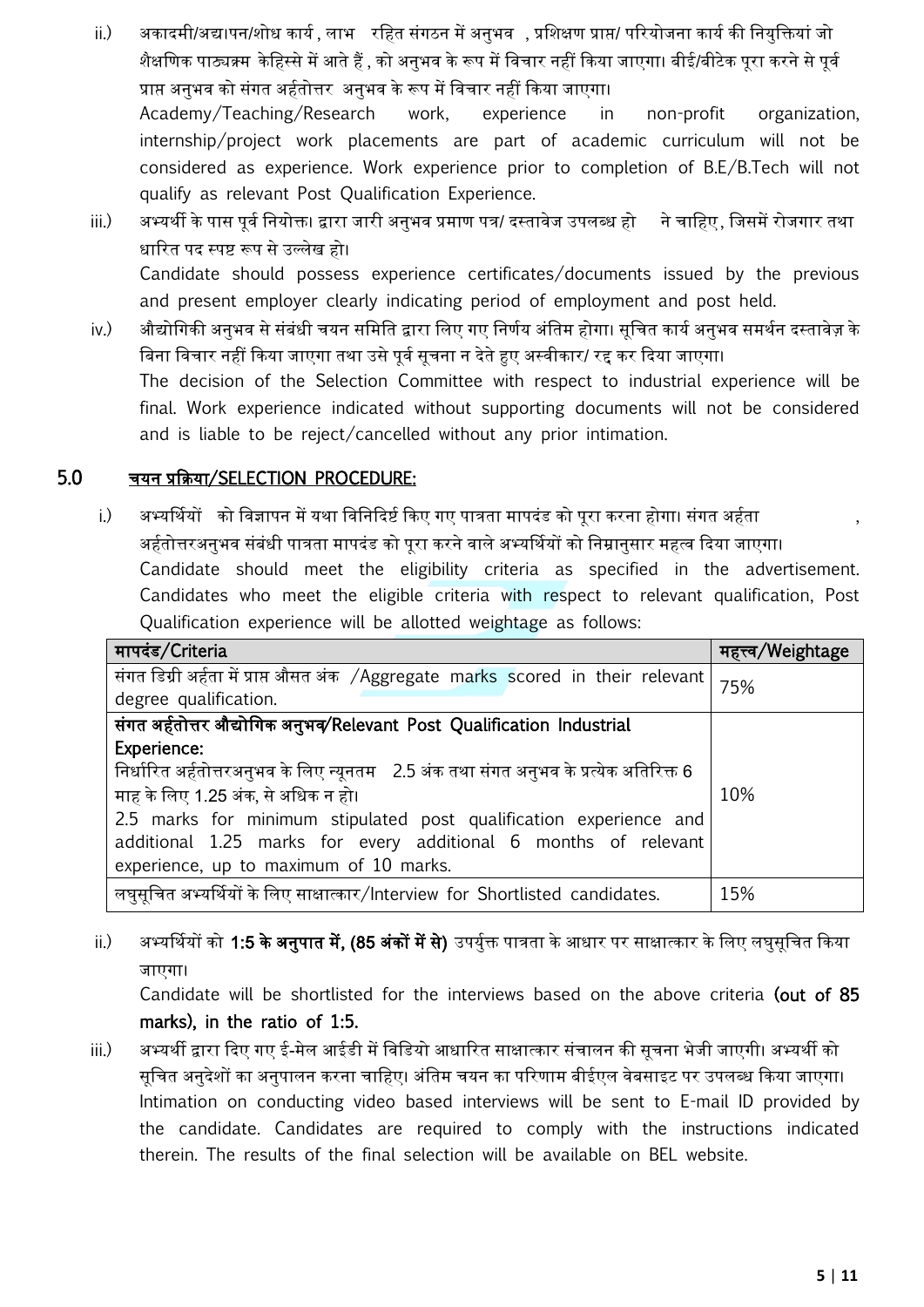- ii.) अकादमी/अद्य।पन/शोध कार्य , लाभ रहित संगठन में अनुभव , प्रशिक्षण प्राप्त/ परियोजना कार्य की नियुक्तियां जो शैक्षणिक पाठ्यक्र्म केहिस्से में आते हैं , को अनुभव के रूप में विचार नहीं किया जाएगा। बीई/बीटेक पुरा करने से पूर्व प्राप्त अनुभव को संगत अहवतोत्तर अनुभव के रूप में नवचार नहीं ककया जाएगा। Academy/Teaching/Research work, experience in non-profit organization, internship/project work placements are part of academic curriculum will not be considered as experience. Work experience prior to completion of B.E/B.Tech will not qualify as relevant Post Qualification Experience.
- iii.) अभ्यर्थी के पास पूर्व नियोक्त। द्वारा जारी अनुभव प्रमाण पत्र/ दस्तावेज उपलब्ध हो ने चाहिए, जिसमें रोजगार तथा धाररत पद स्पष्ट रूप से उल्लेख हो। Candidate should possess experience certificates/documents issued by the previous and present employer clearly indicating period of employment and post held.
- iv.) अौद्योगिकी अनुभव से संबंधी चयन समिति द्वारा लिए गए निर्णय अंतिम होगा। सूचित कार्य अनुभव समर्थन दस्तावेज़ के बिना विचार नहीं किया जाएगा तथा उसे पर्व सूचना न देते हुए अस्वीकार/ रद्द कर दिया जाएगा। The decision of the Selection Committee with respect to industrial experience will be final. Work experience indicated without supporting documents will not be considered and is liable to be reject/cancelled without any prior intimation.

### 5.0 चयन प्रकक्रया/SELECTION PROCEDURE:

i.) अभ्यर्थियों को विज्ञापन में यथा विनिदिर्ष्ट किए गए पात्रता मापदंड को पूरा करना होगा। संगत अर्हता अर्हतोत्तरअनुभव संबंधी पात्रता मापदंड को पूरा करने वाले अभ्यर्थियों को निम्रानुसार महत्व दिया जाएगा। Candidate should meet the eligibility criteria as specified in the advertisement. Candidates who meet the eligible criteria with respect to relevant qualification, Post Qualification experience will be allotted weightage as follows:

| मापदंड/Criteria                                                                        | महत्त्व/Weightage |
|----------------------------------------------------------------------------------------|-------------------|
| संगत डिग्री अर्हता में प्राप्त औसत अंक /Aggregate marks scored in their relevant       | 75%               |
| degree qualification.                                                                  |                   |
| संगत अर्हतोत्तर औद्योगिक अनुभव/Relevant Post Qualification Industrial                  |                   |
| Experience:                                                                            |                   |
| निर्धारित अर्हतोत्तरअनुभव के लिए न्यूनतम 2.5 अंक तथा संगत अनुभव के प्रत्येक अतिरिक्त 6 |                   |
| माह के लिए 1.25 अंक, से अधिक न हो।                                                     | 10%               |
| 2.5 marks for minimum stipulated post qualification experience and                     |                   |
| additional 1.25 marks for every additional 6 months of relevant                        |                   |
| experience, up to maximum of 10 marks.                                                 |                   |
| लघुसूचित अभ्यर्थियों के लिए साक्षात्कार/Interview for Shortlisted candidates.          | 15%               |

ii.) अभ्यर्थियों को **1:5 के अनुपात में, (85 अंकों में से)** उपर्युक्त पात्रता के आधार पर साक्षात्कार के लिए लघुसूचित किया जाएगा।

Candidate will be shortlisted for the interviews based on the above criteria (out of 85 marks), in the ratio of 1:5.

iii.) अभ्यर्थी द्वारा दिए गए ई-मेल आईडी में विडियो आधारित साक्षात्कार संचालन की सूचना भेजी जाएगी। अभ्यर्थी को सूनचत अनुदेशों का अनुपालन करना चानहए। अंनतम चयन का पररणाम बीईएल वेबसाइट पर उपलब्ध ककया जाएगा। Intimation on conducting video based interviews will be sent to E-mail ID provided by the candidate. Candidates are required to comply with the instructions indicated therein. The results of the final selection will be available on BEL website.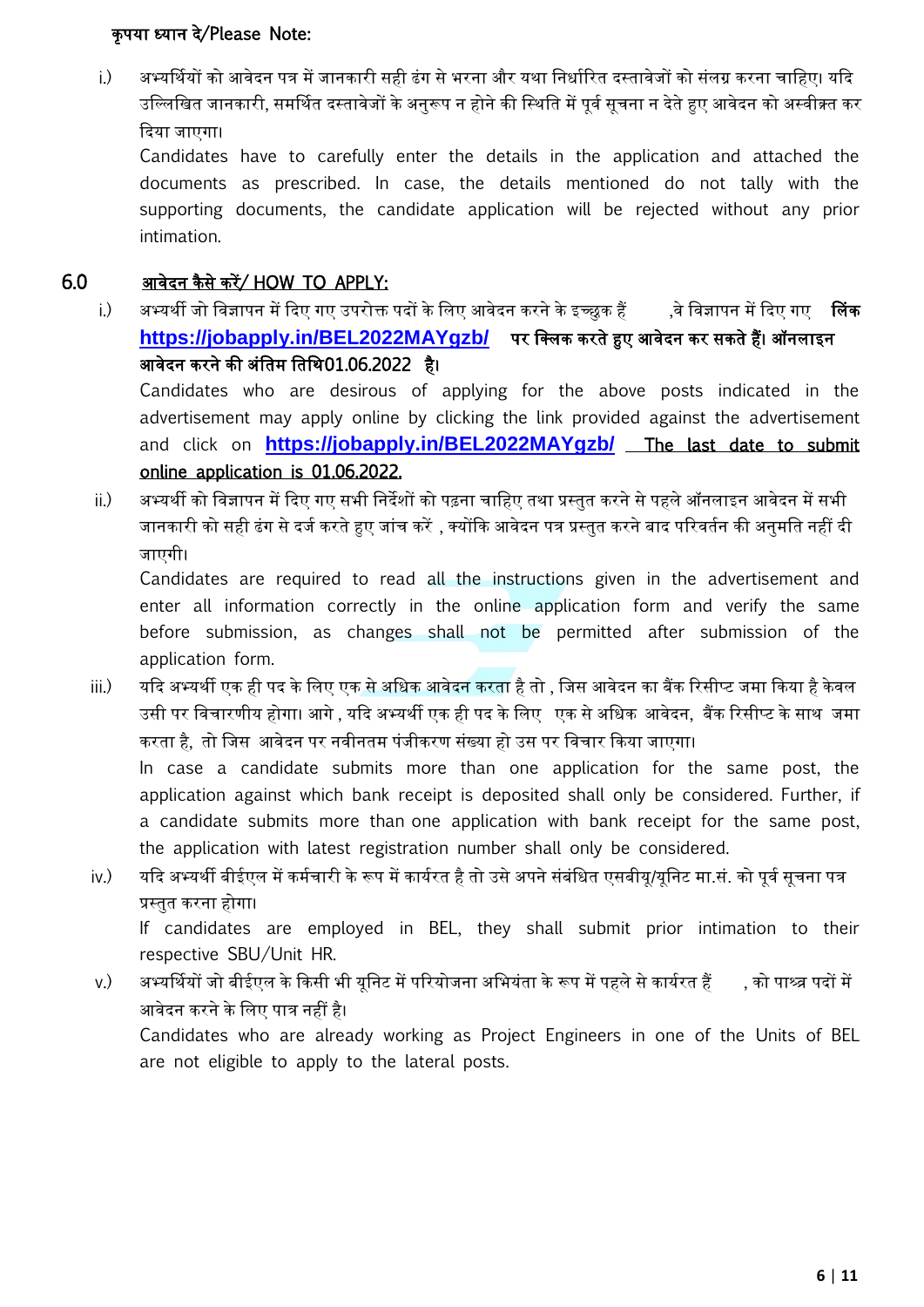#### कृ पया ध्यान दे/Please Note:

i.) अभ्यर्थियों को आवेदन पत्र में जानकारी सही ढंग से भरना और यथा निर्धारित दस्तावेजों को संलग्र करना चाहिए। यदि उल्लिखित जानकारी, समर्थित दस्तावेजों के अनुरूप न होने की स्थिति में पूर्व सुचना न देते हुए आवेदन को अस्वीक्र्त कर कदया जाएगा।

Candidates have to carefully enter the details in the application and attached the documents as prescribed. In case, the details mentioned do not tally with the supporting documents, the candidate application will be rejected without any prior intimation.

### $6.0$  आवेदन कैसे करें/ HOW TO APPLY:

i.) अभ्यर्थी जो विज्ञापन में दिए गए उपरोक्त पदों के लिए आवेदन करने के इच्छुक हैं ,बे विज्ञापन में दिए गए लिं<mark>क</mark> **https://jobapply.in/BEL2022MAYgzb/** पर नक्ट्लक करते हुए आवेदन कर सकते हैं। ऑनलाइन आवेदन करने की अंतिम तिथि01.06.2022 है।

Candidates who are desirous of applying for the above posts indicated in the advertisement may apply online by clicking the link provided against the advertisement and click on **https://jobapply.in/BEL2022MAYgzb/** The last date to submit online application is 01.06.2022.

ii.) अभ्यथी को नवज्ञापन में कदए गए सभी ननदेशों को पढ़ना चानहए तथा प्रस्तुत करने से पहले ऑनलाइन आवेदन में सभी जानकारी को सही ढंग से दर्ज करते हुए जांच करें , क्योंकि आवेदन पत्र प्रस्तुत करने बाद परिवर्तन की अनुमति नहीं दी जाएगी।

Candidates are required to read all the instructions given in the advertisement and enter all information correctly in the online application form and verify the same before submission, as changes shall not be permitted after submission of the application form.

iii.) यदि अभ्यर्थी एक ही पद के लिए एक से अधिक आवेदन करता है तो , जिस आवेदन का बैंक रिसीप्ट जमा किया है केवल उसी पर विचारणीय होगा। आगे , यदि अभ्यर्थी एक ही पद के लिए एक से अधिक आवेदन, बैंक रिसीप्ट के साथ जमा करता है, तो नजस आवेदन पर नवीनतम पंजीकरण संख्या हो उस पर नवचार ककया जाएगा।

In case a candidate submits more than one application for the same post, the application against which bank receipt is deposited shall only be considered. Further, if a candidate submits more than one application with bank receipt for the same post, the application with latest registration number shall only be considered.

iv.) यदि अभ्यर्थी बीईएल में कर्मचारी के रूप में कार्यरत है तो उसे अपने संबंधित एसबीयू/यूनिट मा.सं. को पूर्व सूचना पत्र प्रस्तुत करना होगा।

If candidates are employed in BEL, they shall submit prior intimation to their respective SBU/Unit HR.

v.) अभ्यर्थियों जो बीईएल के किसी भी यनिट में परियोजना अभियंता के रूप में पहले से कार्यरत हैं , को पाश्र्व्र पदों में आवेदन करने के नलए पात्र नहीं है। Candidates who are already working as Project Engineers in one of the Units of BEL

are not eligible to apply to the lateral posts.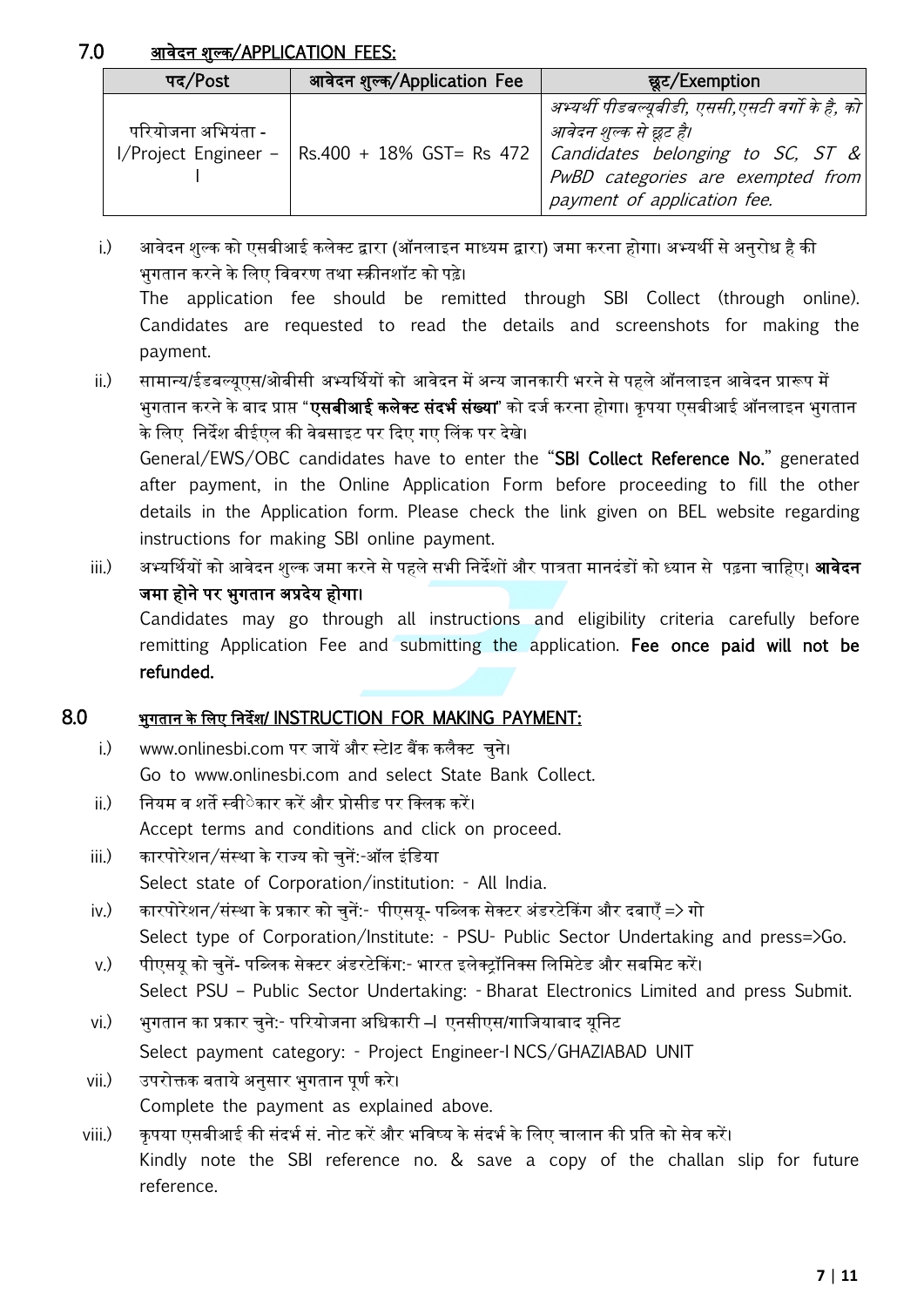## 7.0 आवेदन शुल्क/APPLICATION FEES:

| पद/Post            | आवेदन शुल्क/Application Fee | छूट/Exemption                                                                                                                                                                                                                      |  |  |
|--------------------|-----------------------------|------------------------------------------------------------------------------------------------------------------------------------------------------------------------------------------------------------------------------------|--|--|
| परियोजना अभियंता - |                             | अभ्यर्थी पीडबल्यूबीडी, एससी,एसटी वर्गो के है, को<br>आवेदन शुल्क से छूट है।<br>I/Project Engineer – Rs.400 + 18% GST= Rs 472   Candidates belonging to SC, ST &<br>PwBD categories are exempted from<br>payment of application fee. |  |  |

- i.) आवेदन शुल्क को एसबीआई कलेक्ट्ट द्वारा (ऑनलाइन माध्यम द्वारा) जमा करना होगा। अभ्यथी से अनुरोध है की भुगतान करने के नलए नववरण तथा स्क्रीनशॉट को पढ़े। The application fee should be remitted through SBI Collect (through online). Candidates are requested to read the details and screenshots for making the payment.
- ii.) सामान्य/ईडबल्यूएस/ओबीसी अभ्यर्मथयों को आवेदन में अन्य जानकारी भरने से पहले ऑनलाइन आवेदन प्रारूप में भुगतान करने के बाद प्राप्त "**एसबीआई कलेक्ट संदर्भ संख्या**" को दर्ज करना होगा। कृपया एसबीआई ऑनलाइन भुगतान के लिए निर्देश बीईएल की वेबसाइट पर दिए गए लिंक पर देखे। General/EWS/OBC candidates have to enter the "SBI Collect Reference No." generated after payment, in the Online Application Form before proceeding to fill the other details in the Application form. Please check the link given on BEL website regarding instructions for making SBI online payment.

iii.) अभ्यर्मथयों को आवेदन शुल्क जमा करने से पहले सभी ननदेशों और पात्रता मानदंडों को ध्यान से पढ़ना चानहए। आवेदन जमा होने पर भुगतान अप्रदेय होगा। Candidates may go through all instructions and eligibility criteria carefully before remitting Application Fee and submitting the application. Fee once paid will not be refunded.

### 8.0 भुगतान के नलए ननदेश/ INSTRUCTION FOR MAKING PAYMENT:

- i.) www.onlinesbi.com पर जायें और स्टेIट बैंक कलैक्ट्ट चुने। Go to www.onlinesbi.com and select State Bank Collect.
- ii.) ननयम व शते स्वीेेकार करें और प्रोसीड पर नक्ट्लक करें। Accept terms and conditions and click on proceed.
- iii.) कारपोरेशन/संस्था के राज्य को चुनें:-ऑल इंनडया Select state of Corporation/institution: - All India.
- iv.) कारपोरेशन/संस्था के प्रकार को चुनें:- पीएसयू- पनब्लक सेक्ट्टर अंडरटेककग और दबाएँ => गो Select type of Corporation/Institute: - PSU- Public Sector Undertaking and press=>Go.
- v.) पीएसय को चुनें- पब्लिक सेक्टर अंडरटेकिंग:- भारत इलेक्ट्रॉनिक्स लिमिटेड और सबमिट करें। Select PSU – Public Sector Undertaking: - Bharat Electronics Limited and press Submit.
- vi.) भुगतान का प्रकार चुने:- पररयोजना अनधकारी –I एनसीएस/गानजयाबाद यूननट Select payment category: - Project Engineer-I NCS/GHAZIABAD UNIT
- vii.) उपरोक्तक बताये अनुसार भगतान पूर्ण करे। Complete the payment as explained above.
- viii.) कृपया एसबीआई की संदर्भ सं. नोट करें और भविष्य के संदर्भ के लिए चालान की प्रति को सेव करें। Kindly note the SBI reference no. & save a copy of the challan slip for future reference.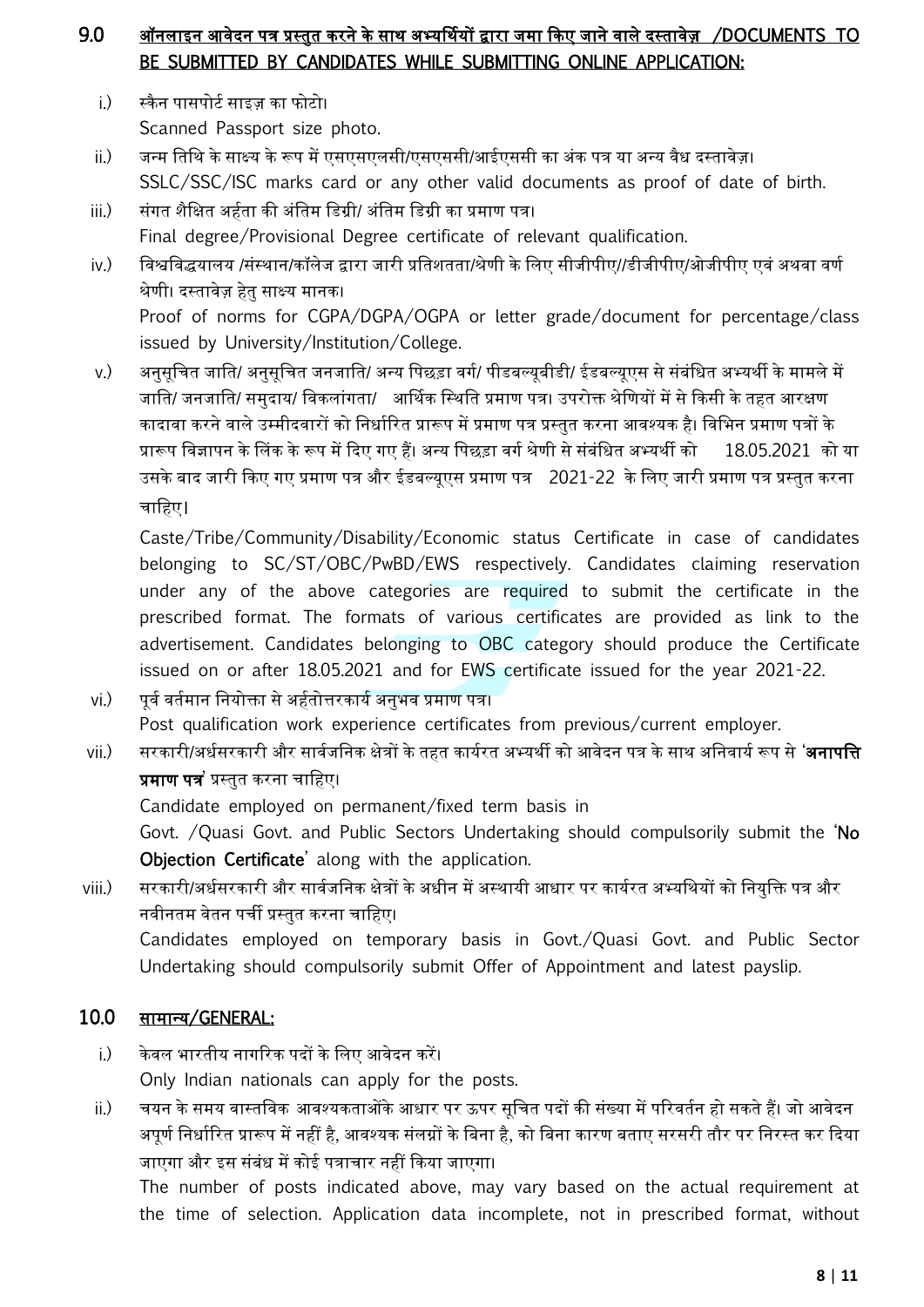## 9.0 ऑनलाइन आवेदन पत्र प्रस्तुत करने के साथ अभ्यर्मथयों द्वारा जमा ककए जाने वाले दस्तावेि /DOCUMENTS TO BE SUBMITTED BY CANDIDATES WHILE SUBMITTING ONLINE APPLICATION:

- <u>i.) स्कैन पासपोर्ट साइज़ का फोटो।</u> Scanned Passport size photo.
- ii.) जन्म तिथि के साक्ष्य के रूप में एसएसएलसी/एसएससी/आईएससी का अंक पत्र या अन्य वैध दस्तावेज़। SSLC/SSC/ISC marks card or any other valid documents as proof of date of birth.
- iii.) संगत शैनक्षत अहवता की अंनतम नडग्री/ अंनतम नडग्री का प्रमाण पत्र। Final degree/Provisional Degree certificate of relevant qualification.
- iv.) विश्वविद्धयालय /संस्थान/कॉलेज द्वारा जारी प्रतिशतता/श्रेणी के लिए सीजीपीए//डीजीपीए/ओजीपीए एवं अथवा वर्ण श्रेणी। दस्तावेज़ हेत साक्ष्य मानक। Proof of norms for CGPA/DGPA/OGPA or letter grade/document for percentage/class issued by University/Institution/College.
- v.) अनुसूचित जाति/ अनुसूचित जनजाति/ अन्य पिछड़ा वर्ग/ पीडबल्युबीडी/ ईडबल्युएस से संबंधित अभ्यर्थी के मामले में जाति/ जनजाति/ समुदाय/ विकलांगता/ आर्थिक स्थिति प्रमाण पत्र। उपरोक्त श्रेणियों में से किसी के तहत आरक्षण कादावा करने वाले उम्मीदवारों को निर्धारित प्रारूप में प्रमाण पत्र प्रस्तुत करना आवश्यक है। विभिन प्रमाण पत्रों के प्रारूप विज्ञापन के लिंक के रूप में दिए गए हैं। अन्य पिछड़ा वर्ग श्रेणी से संबंधित अभ्यर्थी को 18.05.2021 को या उसके बाद जारी ककए गए प्रमाण पत्र और ईडबल्यूएस प्रमाण पत्र 2021-22 के नलए जारी प्रमाण पत्र प्रस्तुत करना चानहए।

Caste/Tribe/Community/Disability/Economic status Certificate in case of candidates belonging to SC/ST/OBC/PwBD/EWS respectively. Candidates claiming reservation under any of the above categories are required to submit the certificate in the prescribed format. The formats of various certificates are provided as link to the advertisement. Candidates belonging to OBC category should produce the Certificate issued on or after 18.05.2021 and for EWS certificate issued for the year 2021-22.

- vi.) पूर्व वर्तमान नियोक्ता से अर्हतोत्तरकार्य अनुभव प्रमाण पत्र। Post qualification work experience certificates from previous/current employer.
- vii.) सरकारी/अर्धसरकारी और सार्वजनिक क्षेत्रों के तहत कार्यरत अभ्यर्थी को आवेदन पत्र के साथ अनिवार्य रूप से '**अनापत्ति** प्रमाण पत्र' प्रस्तुत करना चानहए।

Candidate employed on permanent/fixed term basis in

Govt. /Quasi Govt. and Public Sectors Undertaking should compulsorily submit the 'No Objection Certificate' along with the application.

viii.) सरकारी/अधवसरकारी और साववजननक क्षेत्रों के अधीन में अस्थायी आधार पर कायवरत अभ्यनथयों को ननयुनि पत्र और नवीनतम वेतन पर्ची प्रस्तत करना चाहिए।

Candidates employed on temporary basis in Govt./Quasi Govt. and Public Sector Undertaking should compulsorily submit Offer of Appointment and latest payslip.

## 10.0 सामान्य/GENERAL:

- i.) के वल भारतीय नागररक पदों के नलए आवेदन करें। Only Indian nationals can apply for the posts.
- ii.) चयन के समय वास्तनवक आवश्यकताओंके आधार पर ऊपर सूनचत पदों की संख्या में पररवतवन हो सकते हैं। जो आवेदन अपर्ण निर्धारित प्रारूप में नहीं है, आवश्यक संलग्नों के बिना है, को बिना कारण बताए सरसरी तौर पर निरस्त कर दिया जाएगा और इस संबंध में कोई पत्राचार नहीं ककया जाएगा।

The number of posts indicated above, may vary based on the actual requirement at the time of selection. Application data incomplete, not in prescribed format, without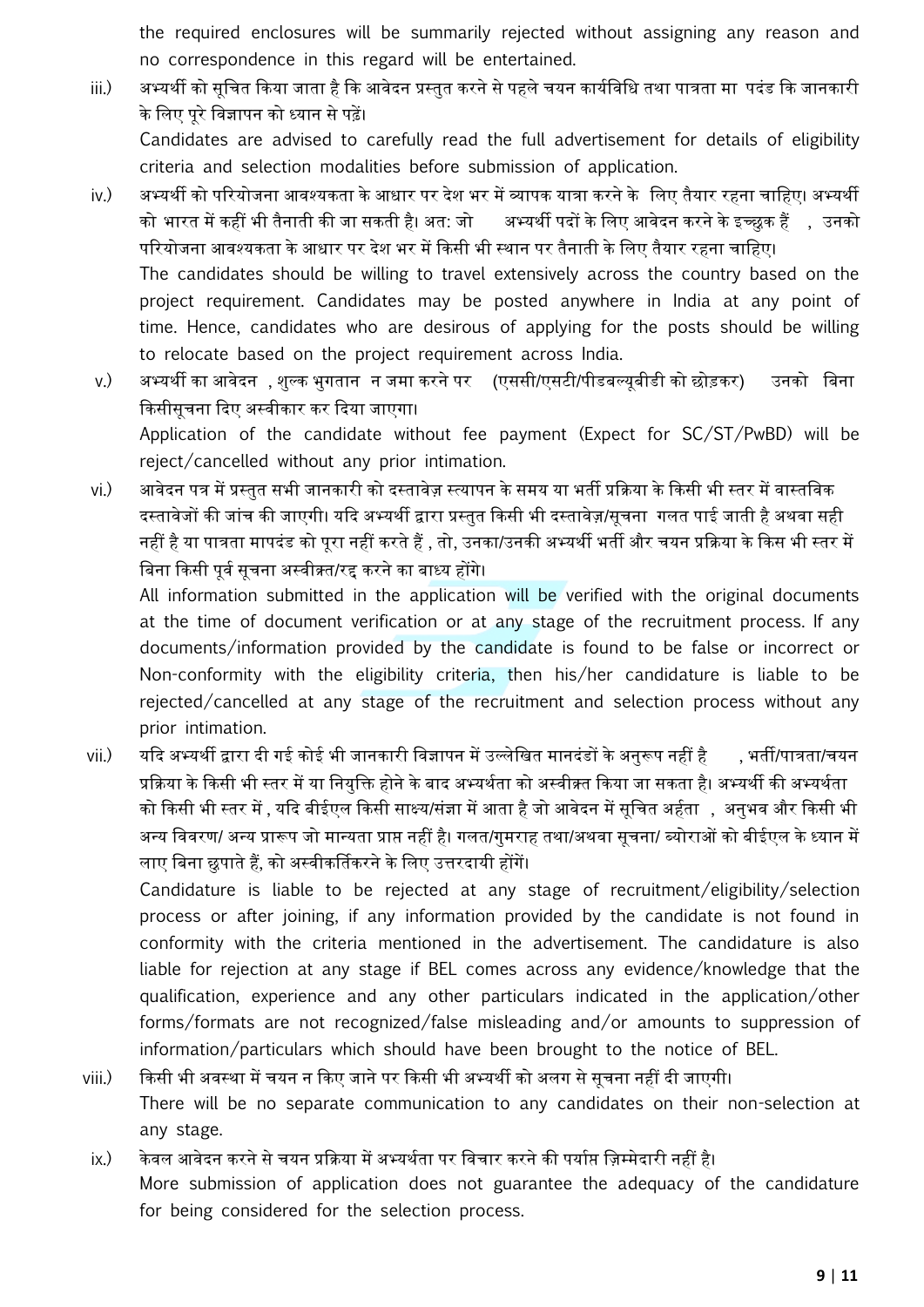the required enclosures will be summarily rejected without assigning any reason and no correspondence in this regard will be entertained.

- iii.) अभ्यर्थी को सूचित किया जाता है कि आवेदन प्रस्तुत करने से पहले चयन कार्यविधि तथा पात्रता मा पदंड कि जानकारी के नलए पूरे नवज्ञापन को ध्यान से पढ़ें। Candidates are advised to carefully read the full advertisement for details of eligibility criteria and selection modalities before submission of application.
- iv.) अभ्यथी को पररयोजना आवश्यकता के आधार पर देश भर में व्यापक यात्रा करने के नलए तैयार रहना चानहए। अभ्यथी को भारत में कहीं भी तैनाती की जा सकती है। अत: जो अभ्यर्थी पदों के लिए आवेदन करने के इच्छुक हैं , , उनको पररयोजना आवश्यकता के आधार पर देश भर में ककसी भी स्थान पर तैनाती के नलए तैयार रहना चानहए। The candidates should be willing to travel extensively across the country based on the project requirement. Candidates may be posted anywhere in India at any point of time. Hence, candidates who are desirous of applying for the posts should be willing to relocate based on the project requirement across India.
- v.) अभ्यथी का आवेदन , शुल्क भुगतान न जमा करने पर (एससी/एसटी/पीडबल्यूबीडी को छोड़कर) उनको नबना किसीसूचना दिए अस्वीकार कर दिया जाएगा। Application of the candidate without fee payment (Expect for SC/ST/PwBD) will be reject/cancelled without any prior intimation.
- vi.) आवेदन पत्र में प्रस्तुत सभी जानकारी को दस्तावेज़ स्त्यापन के समय या भर्ती प्रक्रिया के किसी भी स्तर में वास्तविक दस्तावेजों की जांच की जाएगी। यदि अभ्यर्थी द्वारा प्रस्तुत किसी भी दस्तावेज़/सूचना गलत पाई जाती है अथवा सही नहीं है या पात्रता मापदंड को पूरा नहीं करते हैं, तो, उनका/उनकी अभ्यथी भती और चयन प्रकक्रया के ककस भी स्तर में बिना किसी पर्व सचना अस्वीक्र्त/रद्द करने का बाध्य होंगे।

All information submitted in the application will be verified with the original documents at the time of document verification or at any stage of the recruitment process. If any documents/information provided by the candidate is found to be false or incorrect or Non-conformity with the eligibility criteria, then his/her candidature is liable to be rejected/cancelled at any stage of the recruitment and selection process without any prior intimation.

vii.) यदि अभ्यर्थी द्वारा दी गई कोई भी जानकारी विज्ञापन में उल्लेखित मानदंडों के अनुरूप नहीं है , भर्ती/पात्रता/चयन प्रकक्रया के ककसी भी स्तर में या ननयुनि होने के बाद अभ्यथवता को अस्वीक्र्त ककया जा सकता है। अभ्यथी की अभ्यथवता को किसी भी स्तर में , यदि बीईएल किसी साक्ष्य/संज्ञा में आता है जो आवेदन में सुचित अर्हता , अनुभव और किसी भी अन्य नववरण/ अन्य प्रारूप जो मान्यता प्राप्त नहीं है। गलत/गुमराह तथा/अथवा सूचना/ ब्योराओं को बीईएल के ध्यान में लाए बिना छुपाते हैं, को अस्वीकर्तिकरने के लिए उत्तरदायी होंगें।

Candidature is liable to be rejected at any stage of recruitment/eligibility/selection process or after joining, if any information provided by the candidate is not found in conformity with the criteria mentioned in the advertisement. The candidature is also liable for rejection at any stage if BEL comes across any evidence/knowledge that the qualification, experience and any other particulars indicated in the application/other forms/formats are not recognized/false misleading and/or amounts to suppression of information/particulars which should have been brought to the notice of BEL.

- viii.) ककसी भी अवस्था में चयन न ककए जाने पर ककसी भी अभ्यथी को अलग से सूचना नहीं दी जाएगी। There will be no separate communication to any candidates on their non-selection at any stage.
- ix.) केवल आवेदन करने से चयन प्रक्रिया में अभ्यर्थता पर विचार करने की पर्याप्त ज़िम्मेदारी नहीं है। More submission of application does not guarantee the adequacy of the candidature for being considered for the selection process.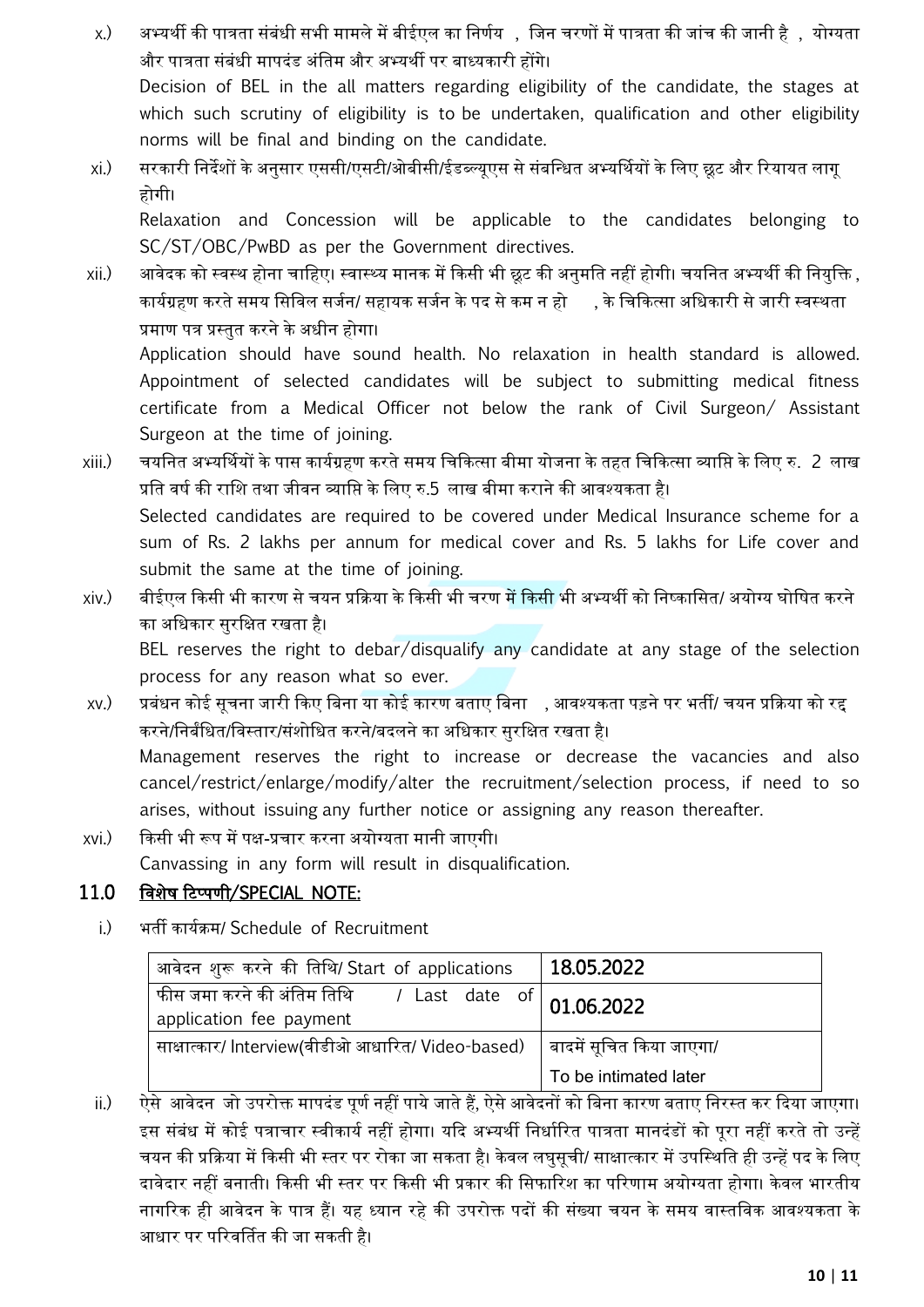- x.) अभ्यर्थी की पात्रता संबंधी सभी मामले में बीईएल का निर्णय , जिन चरणों में पात्रता की जांच की जानी है , योग्यता और पात्रता संबंधी मापदंड अंनतम और अभ्यथी पर बाध्यकारी होंगे। Decision of BEL in the all matters regarding eligibility of the candidate, the stages at which such scrutiny of eligibility is to be undertaken, qualification and other eligibility norms will be final and binding on the candidate.
- xi.) सरकारी निर्देशों के अनसार एससी/एसटी/ओबीसी/ईडब्ल्यएस से संबन्धित अभ्यर्थियों के लिए छूट और रियायत लागू होगी।

Relaxation and Concession will be applicable to the candidates belonging to SC/ST/OBC/PwBD as per the Government directives.

- xii.) आवेदक को स्वस्थ होना चाहिए। स्वास्थ्य मानक में किसी भी छूट की अनुमति नहीं होगी। चयनित अभ्यर्थी की नियुक्ति , कार्यग्रहण करते समय सिविल सर्जन/ सहायक सर्जन के पद से कम न हो , के चिकित्सा अधिकारी से जारी स्वस्थता प्रमाण पत्र प्रस्तुत करने के अधीन होगा। Application should have sound health. No relaxation in health standard is allowed. Appointment of selected candidates will be subject to submitting medical fitness certificate from a Medical Officer not below the rank of Civil Surgeon/ Assistant Surgeon at the time of joining.
- xiii.) चयननत अभ्यर्मथयों के पास कायवग्रहण करते समय नचककत्सा बीमा योजना के तहत नचककत्सा व्यानप्त के नलए रु. 2 लाख प्रति वर्ष की राशि तथा जीवन व्याप्ति के लिए रु.5 लाख बीमा कराने की आवश्यकता है। Selected candidates are required to be covered under Medical Insurance scheme for a sum of Rs. 2 lakhs per annum for medical cover and Rs. 5 lakhs for Life cover and submit the same at the time of joining.
- xiv.) बीईएल ककसी भी कारण से चयन प्रकक्रया के ककसी भी चरण में ककसी भी अभ्यथी को ननष्कानसत/ अयोग्य घोनषत करने का अधिकार सरक्षित रखता है।

BEL reserves the right to debar/disqualify any candidate at any stage of the selection process for any reason what so ever.

- xv.) प्रबंधन कोई सूचना जारी किए बिना या कोई कारण बताए बिना ्, आवश्यकता पड़ने पर भर्ती/ चयन प्रक्रिया को रद्द करने/निर्बंधित/विस्तार/संशोधित करने/बदलने का अधिकार सुरक्षित रखता है। Management reserves the right to increase or decrease the vacancies and also cancel/restrict/enlarge/modify/alter the recruitment/selection process, if need to so arises, without issuing any further notice or assigning any reason thereafter.
- xvi.) ककसी भी रूप में पक्ष-प्रचार करना अयोग्यता मानी जाएगी। Canvassing in any form will result in disqualification.

## 11.0 नवशेष रटटपणी/SPECIAL NOTE:

i.) भती कायवक्रम/ Schedule of Recruitment

| आवेदन शुरू करने की तिथि/ Start of applications                                                                                               | 18.05.2022               |
|----------------------------------------------------------------------------------------------------------------------------------------------|--------------------------|
| । फीस जमा करने की अंतिम तिथि        /   Last    date    of $\big  \begin{array}{l} \text{01.06.2022} \end{array}$<br>application fee payment |                          |
| साक्षात्कार/ Interview(वीडीओ आधारित/ Video-based)                                                                                            | बादमें सूचित किया जाएगा/ |
|                                                                                                                                              | To be intimated later    |

ii.) ऐसे आवेदन जो उपरोक्त मापदंड पूर्ण नहीं पाये जाते हैं, ऐसे आवेदनों को बिना कारण बताए निरस्त कर दिया जाएगा। इस संबंध में कोई पत्राचार स्वीकार्य नहीं होगा। यदि अभ्यर्थी निर्धारित पात्रता मानदंडों को परा नहीं करते तो उन्हें चयन की प्रक्रिया में किसी भी स्तर पर रोका जा सकता है। केवल लघसूची/ साक्षात्कार में उपस्थिति ही उन्हें पद के लिए दावेदार नहीं बनाती। किसी भी स्तर पर किसी भी प्रकार की सिफारिश का परिणाम अयोग्यता होगा। केवल भारतीय नागरिक ही आवेदन के पात्र हैं। यह ध्यान रहे की उपरोक्त पदों की संख्या चयन के समय वास्तविक आवश्यकता के आधार पर पररवर्मतत की जा सकती है।